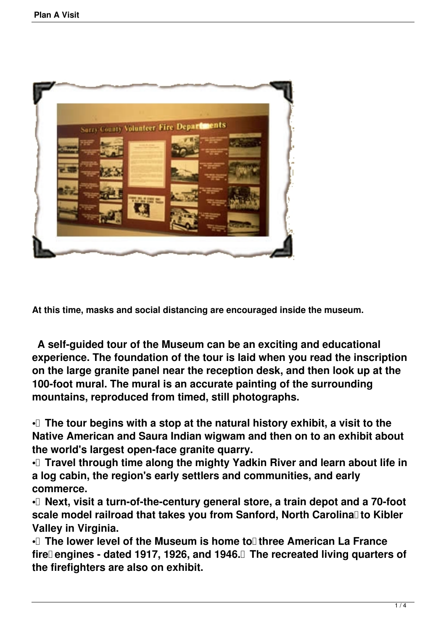

**At this time, masks and social distancing are encouraged inside the museum.**

 **A self-guided tour of the Museum can be an exciting and educational experience. The foundation of the tour is laid when you read the inscription on the large granite panel near the reception desk, and then look up at the 100-foot mural. The mural is an accurate painting of the surrounding mountains, reproduced from timed, still photographs.**

**• The tour begins with a stop at the natural history exhibit, a visit to the Native American and Saura Indian wigwam and then on to an exhibit about the world's largest open-face granite quarry.**

**• Travel through time along the mighty Yadkin River and learn about life in a log cabin, the region's early settlers and communities, and early commerce.**

**• Next, visit a turn-of-the-century general store, a train depot and a 70-foot** scale model railroad that takes you from Sanford, North Carolina lto Kibler **Valley in Virginia.**

**• The lower level of the Museum is home to three American La France fire engines - dated 1917, 1926, and 1946. The recreated living quarters of the firefighters are also on exhibit.**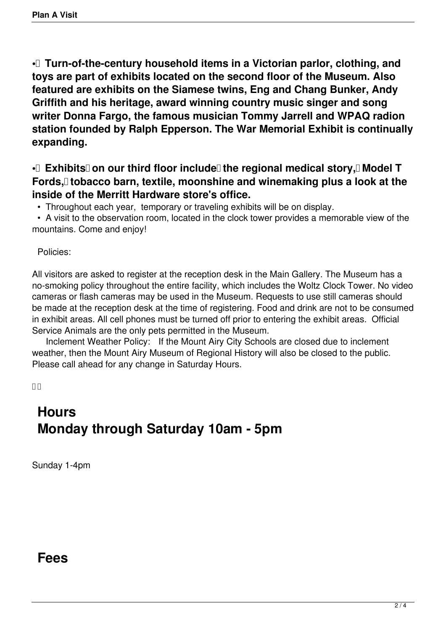**• Turn-of-the-century household items in a Victorian parlor, clothing, and toys are part of exhibits located on the second floor of the Museum. Also featured are exhibits on the Siamese twins, Eng and Chang Bunker, Andy Griffith and his heritage, award winning country music singer and song writer Donna Fargo, the famous musician Tommy Jarrell and WPAQ radion station founded by Ralph Epperson. The War Memorial Exhibit is continually expanding.**

## **• Exhibits on our third floor include the regional medical story, Model T** Fords, I tobacco barn, textile, moonshine and winemaking plus a look at the **inside of the Merritt Hardware store's office.**

• Throughout each year, temporary or traveling exhibits will be on display.

 • A visit to the observation room, located in the clock tower provides a memorable view of the mountains. Come and enjoy!

Policies:

All visitors are asked to register at the reception desk in the Main Gallery. The Museum has a no-smoking policy throughout the entire facility, which includes the Woltz Clock Tower. No video cameras or flash cameras may be used in the Museum. Requests to use still cameras should be made at the reception desk at the time of registering. Food and drink are not to be consumed in exhibit areas. All cell phones must be turned off prior to entering the exhibit areas. Official Service Animals are the only pets permitted in the Museum.

 Inclement Weather Policy: If the Mount Airy City Schools are closed due to inclement weather, then the Mount Airy Museum of Regional History will also be closed to the public. Please call ahead for any change in Saturday Hours.

 $\Box$ 

## **Hours Monday through Saturday 10am - 5pm**

Sunday 1-4pm

## **Fees**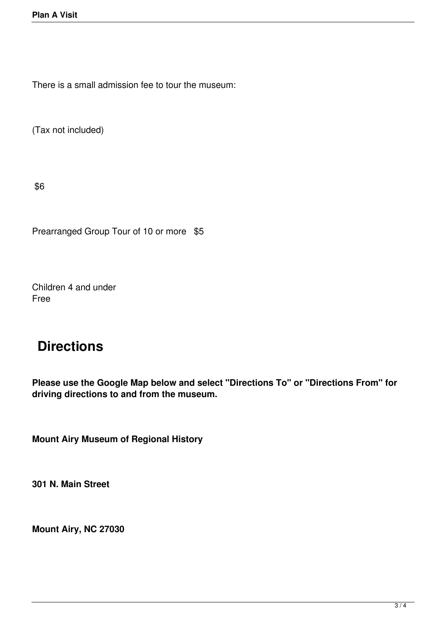There is a small admission fee to tour the museum:

(Tax not included)

\$6

Prearranged Group Tour of 10 or more \$5

Children 4 and under Free was a state of the contract of the contract of the contract of the contract of the contract of the contract of the contract of the contract of the contract of the contract of the contract of the contract of the contra

## **Directions**

**Please use the Google Map below and select "Directions To" or "Directions From" for driving directions to and from the museum.**

**Mount Airy Museum of Regional History**

**301 N. Main Street** 

**Mount Airy, NC 27030**